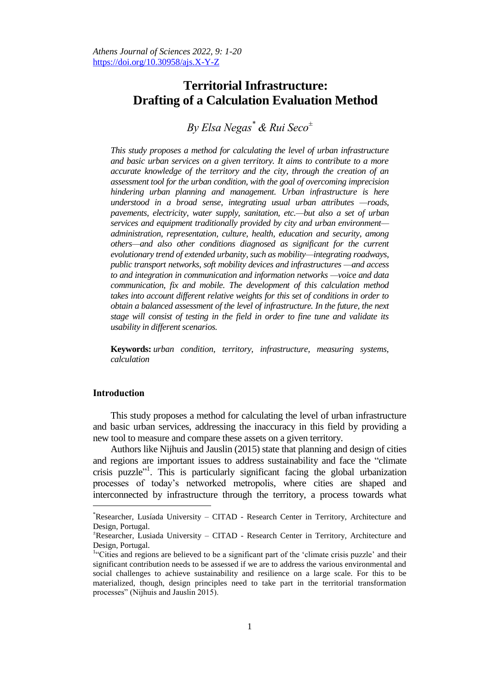# **Territorial Infrastructure: Drafting of a Calculation Evaluation Method**

*By Elsa Negas\* & Rui Seco<sup>±</sup>*

*This study proposes a method for calculating the level of urban infrastructure and basic urban services on a given territory. It aims to contribute to a more accurate knowledge of the territory and the city, through the creation of an assessment tool for the urban condition, with the goal of overcoming imprecision hindering urban planning and management. Urban infrastructure is here understood in a broad sense, integrating usual urban attributes —roads, pavements, electricity, water supply, sanitation, etc.—but also a set of urban services and equipment traditionally provided by city and urban environment administration, representation, culture, health, education and security, among others—and also other conditions diagnosed as significant for the current evolutionary trend of extended urbanity, such as mobility—integrating roadways, public transport networks, soft mobility devices and infrastructures —and access to and integration in communication and information networks —voice and data communication, fix and mobile. The development of this calculation method takes into account different relative weights for this set of conditions in order to obtain a balanced assessment of the level of infrastructure. In the future, the next stage will consist of testing in the field in order to fine tune and validate its usability in different scenarios.*

**Keywords:** *urban condition, territory, infrastructure, measuring systems, calculation*

## **Introduction**

 $\overline{a}$ 

This study proposes a method for calculating the level of urban infrastructure and basic urban services, addressing the inaccuracy in this field by providing a new tool to measure and compare these assets on a given territory.

Authors like Nijhuis and Jauslin (2015) state that planning and design of cities and regions are important issues to address sustainability and face the "climate crisis puzzle"<sup>1</sup>. This is particularly significant facing the global urbanization processes of today's networked metropolis, where cities are shaped and interconnected by infrastructure through the territory, a process towards what

<sup>\*</sup>Researcher, Lusíada University – CITAD - Research Center in Territory, Architecture and Design, Portugal.

<sup>±</sup>Researcher, Lusiada University – CITAD - Research Center in Territory, Architecture and Design, Portugal.

<sup>&</sup>lt;sup>1</sup>"Cities and regions are believed to be a significant part of the 'climate crisis puzzle' and their significant contribution needs to be assessed if we are to address the various environmental and social challenges to achieve sustainability and resilience on a large scale. For this to be materialized, though, design principles need to take part in the territorial transformation processes" (Nijhuis and Jauslin 2015).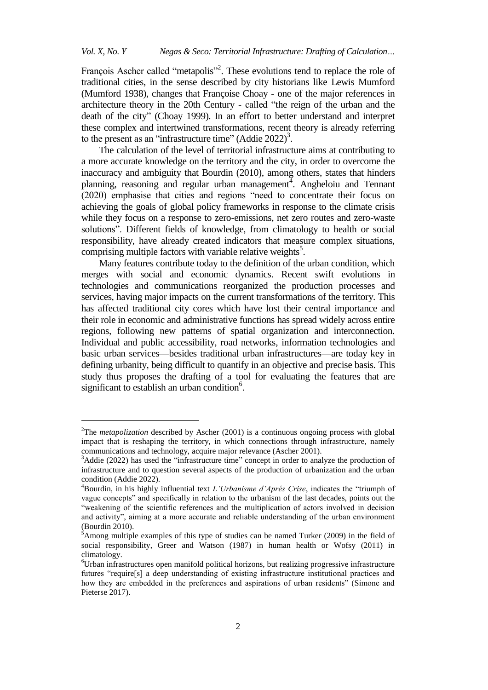François Ascher called "metapolis"<sup>2</sup>. These evolutions tend to replace the role of traditional cities, in the sense described by city historians like Lewis Mumford (Mumford 1938), changes that Françoise Choay - one of the major references in architecture theory in the 20th Century - called "the reign of the urban and the death of the city" (Choay 1999). In an effort to better understand and interpret these complex and intertwined transformations, recent theory is already referring to the present as an "infrastructure time" (Addie 2022)<sup>3</sup>.

The calculation of the level of territorial infrastructure aims at contributing to a more accurate knowledge on the territory and the city, in order to overcome the inaccuracy and ambiguity that Bourdin (2010), among others, states that hinders planning, reasoning and regular urban management<sup>4</sup>. Angheloiu and Tennant (2020) emphasise that cities and regions "need to concentrate their focus on achieving the goals of global policy frameworks in response to the climate crisis while they focus on a response to zero-emissions, net zero routes and zero-waste solutions". Different fields of knowledge, from climatology to health or social responsibility, have already created indicators that measure complex situations, comprising multiple factors with variable relative weights<sup>5</sup>.

Many features contribute today to the definition of the urban condition, which merges with social and economic dynamics. Recent swift evolutions in technologies and communications reorganized the production processes and services, having major impacts on the current transformations of the territory. This has affected traditional city cores which have lost their central importance and their role in economic and administrative functions has spread widely across entire regions, following new patterns of spatial organization and interconnection. Individual and public accessibility, road networks, information technologies and basic urban services—besides traditional urban infrastructures—are today key in defining urbanity, being difficult to quantify in an objective and precise basis. This study thus proposes the drafting of a tool for evaluating the features that are significant to establish an urban condition<sup>6</sup>.

j

<sup>2</sup>The *metapolization* described by Ascher (2001) is a continuous ongoing process with global impact that is reshaping the territory, in which connections through infrastructure, namely communications and technology, acquire major relevance (Ascher 2001).

 $3$ Addie (2022) has used the "infrastructure time" concept in order to analyze the production of infrastructure and to question several aspects of the production of urbanization and the urban condition (Addie 2022).

 $4$ Bourdin, in his highly influential text *L'Urbanisme d'Aprés Crise*, indicates the "triumph of vague concepts" and specifically in relation to the urbanism of the last decades, points out the "weakening of the scientific references and the multiplication of actors involved in decision and activity", aiming at a more accurate and reliable understanding of the urban environment (Bourdin 2010).

 $5A$ mong multiple examples of this type of studies can be named Turker (2009) in the field of social responsibility, Greer and Watson (1987) in human health or Wofsy (2011) in climatology.

<sup>6</sup>Urban infrastructures open manifold political horizons, but realizing progressive infrastructure futures "require[s] a deep understanding of existing infrastructure institutional practices and how they are embedded in the preferences and aspirations of urban residents" (Simone and Pieterse [2017\)](https://www.tandfonline.com/doi/full/10.1080/10630732.2021.2001716?scroll=top&needAccess=true).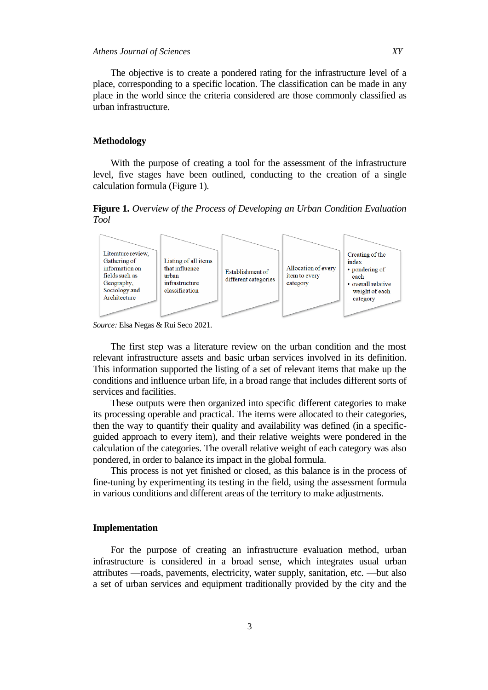The objective is to create a pondered rating for the infrastructure level of a place, corresponding to a specific location. The classification can be made in any place in the world since the criteria considered are those commonly classified as urban infrastructure.

## **Methodology**

With the purpose of creating a tool for the assessment of the infrastructure level, five stages have been outlined, conducting to the creation of a single calculation formula (Figure 1).

**Figure 1.** *Overview of the Process of Developing an Urban Condition Evaluation Tool* 



*Source:* Elsa Negas & Rui Seco 2021.

The first step was a literature review on the urban condition and the most relevant infrastructure assets and basic urban services involved in its definition. This information supported the listing of a set of relevant items that make up the conditions and influence urban life, in a broad range that includes different sorts of services and facilities.

These outputs were then organized into specific different categories to make its processing operable and practical. The items were allocated to their categories, then the way to quantify their quality and availability was defined (in a specificguided approach to every item), and their relative weights were pondered in the calculation of the categories. The overall relative weight of each category was also pondered, in order to balance its impact in the global formula.

This process is not yet finished or closed, as this balance is in the process of fine-tuning by experimenting its testing in the field, using the assessment formula in various conditions and different areas of the territory to make adjustments.

## **Implementation**

For the purpose of creating an infrastructure evaluation method, urban infrastructure is considered in a broad sense, which integrates usual urban attributes —roads, pavements, electricity, water supply, sanitation, etc. —but also a set of urban services and equipment traditionally provided by the city and the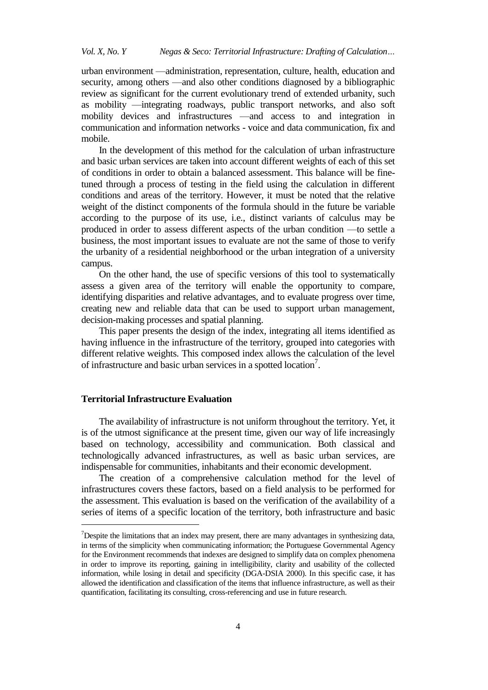urban environment —administration, representation, culture, health, education and security, among others —and also other conditions diagnosed by a bibliographic review as significant for the current evolutionary trend of extended urbanity, such as mobility —integrating roadways, public transport networks, and also soft mobility devices and infrastructures —and access to and integration in communication and information networks - voice and data communication, fix and mobile.

In the development of this method for the calculation of urban infrastructure and basic urban services are taken into account different weights of each of this set of conditions in order to obtain a balanced assessment. This balance will be finetuned through a process of testing in the field using the calculation in different conditions and areas of the territory. However, it must be noted that the relative weight of the distinct components of the formula should in the future be variable according to the purpose of its use, i.e., distinct variants of calculus may be produced in order to assess different aspects of the urban condition —to settle a business, the most important issues to evaluate are not the same of those to verify the urbanity of a residential neighborhood or the urban integration of a university campus.

On the other hand, the use of specific versions of this tool to systematically assess a given area of the territory will enable the opportunity to compare, identifying disparities and relative advantages, and to evaluate progress over time, creating new and reliable data that can be used to support urban management, decision-making processes and spatial planning.

This paper presents the design of the index, integrating all items identified as having influence in the infrastructure of the territory, grouped into categories with different relative weights. This composed index allows the calculation of the level of infrastructure and basic urban services in a spotted location<sup>7</sup>.

## **Territorial Infrastructure Evaluation**

 $\overline{a}$ 

The availability of infrastructure is not uniform throughout the territory. Yet, it is of the utmost significance at the present time, given our way of life increasingly based on technology, accessibility and communication. Both classical and technologically advanced infrastructures, as well as basic urban services, are indispensable for communities, inhabitants and their economic development.

The creation of a comprehensive calculation method for the level of infrastructures covers these factors, based on a field analysis to be performed for the assessment. This evaluation is based on the verification of the availability of a series of items of a specific location of the territory, both infrastructure and basic

<sup>&</sup>lt;sup>7</sup>Despite the limitations that an index may present, there are many advantages in synthesizing data, in terms of the simplicity when communicating information; the Portuguese Governmental Agency for the Environment recommends that indexes are designed to simplify data on complex phenomena in order to improve its reporting, gaining in intelligibility, clarity and usability of the collected information, while losing in detail and specificity (DGA-DSIA 2000). In this specific case, it has allowed the identification and classification of the items that influence infrastructure, as well as their quantification, facilitating its consulting, cross-referencing and use in future research.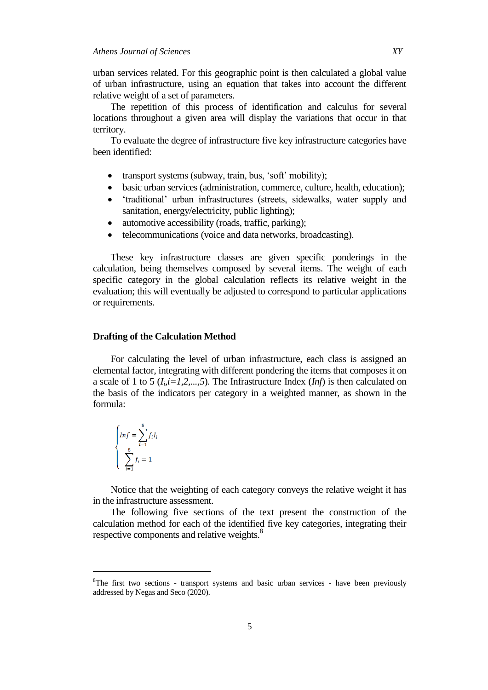urban services related. For this geographic point is then calculated a global value of urban infrastructure, using an equation that takes into account the different relative weight of a set of parameters.

The repetition of this process of identification and calculus for several locations throughout a given area will display the variations that occur in that territory.

To evaluate the degree of infrastructure five key infrastructure categories have been identified:

- transport systems (subway, train, bus, 'soft' mobility);
- basic urban services (administration, commerce, culture, health, education);
- ‗traditional' urban infrastructures (streets, sidewalks, water supply and sanitation, energy/electricity, public lighting);
- automotive accessibility (roads, traffic, parking);
- telecommunications (voice and data networks, broadcasting).

These key infrastructure classes are given specific ponderings in the calculation, being themselves composed by several items. The weight of each specific category in the global calculation reflects its relative weight in the evaluation; this will eventually be adjusted to correspond to particular applications or requirements.

## **Drafting of the Calculation Method**

For calculating the level of urban infrastructure, each class is assigned an elemental factor, integrating with different pondering the items that composes it on a scale of 1 to 5 ( $I_i$ , $i=1,2,...,5$ ). The Infrastructure Index (*Inf*) is then calculated on the basis of the indicators per category in a weighted manner, as shown in the formula:

$$
\begin{cases}\nInf = \sum_{i=1}^{5} f_i I_i \\
\sum_{i=1}^{5} f_i = 1\n\end{cases}
$$

 $\overline{a}$ 

Notice that the weighting of each category conveys the relative weight it has in the infrastructure assessment.

The following five sections of the text present the construction of the calculation method for each of the identified five key categories, integrating their respective components and relative weights.<sup>8</sup>

<sup>8</sup>The first two sections - transport systems and basic urban services - have been previously addressed by Negas and Seco (2020).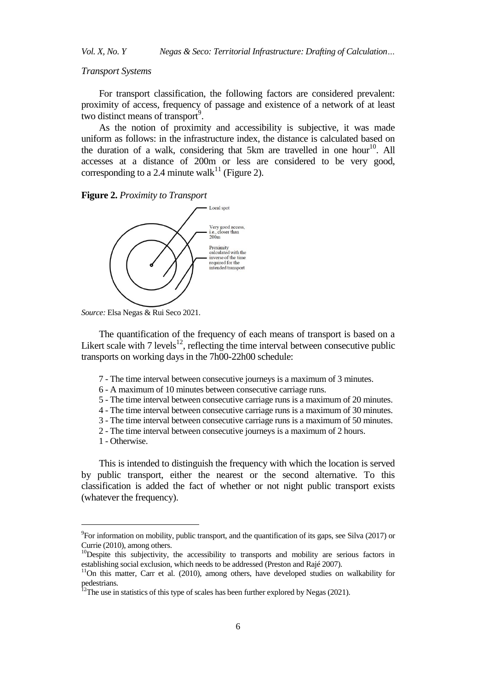*Transport Systems*

For transport classification, the following factors are considered prevalent: proximity of access, frequency of passage and existence of a network of at least two distinct means of transport $9$ .

As the notion of proximity and accessibility is subjective, it was made uniform as follows: in the infrastructure index, the distance is calculated based on the duration of a walk, considering that 5km are travelled in one hour<sup>10</sup>. All accesses at a distance of 200m or less are considered to be very good, corresponding to a 2.4 minute walk<sup>11</sup> (Figure 2).

**Figure 2.** *Proximity to Transport*



*Source:* Elsa Negas & Rui Seco 2021.

The quantification of the frequency of each means of transport is based on a Likert scale with  $7$  levels<sup>12</sup>, reflecting the time interval between consecutive public transports on working days in the 7h00-22h00 schedule:

- 7 The time interval between consecutive journeys is a maximum of 3 minutes.
- 6 A maximum of 10 minutes between consecutive carriage runs.
- 5 The time interval between consecutive carriage runs is a maximum of 20 minutes.
- 4 The time interval between consecutive carriage runs is a maximum of 30 minutes.
- 3 The time interval between consecutive carriage runs is a maximum of 50 minutes.
- 2 The time interval between consecutive journeys is a maximum of 2 hours.
- 1 Otherwise.

 $\overline{a}$ 

This is intended to distinguish the frequency with which the location is served by public transport, either the nearest or the second alternative. To this classification is added the fact of whether or not night public transport exists (whatever the frequency).

 $^{9}$ For information on mobility, public transport, and the quantification of its gaps, see Silva (2017) or Currie (2010), among others.

<sup>&</sup>lt;sup>10</sup>Despite this subjectivity, the accessibility to transports and mobility are serious factors in establishing social exclusion, which needs to be addressed (Preston and Rajé 2007).

<sup>&</sup>lt;sup>11</sup>On this matter, Carr et al. (2010), among others, have developed studies on walkability for pedestrians.

 $12$ The use in statistics of this type of scales has been further explored by Negas (2021).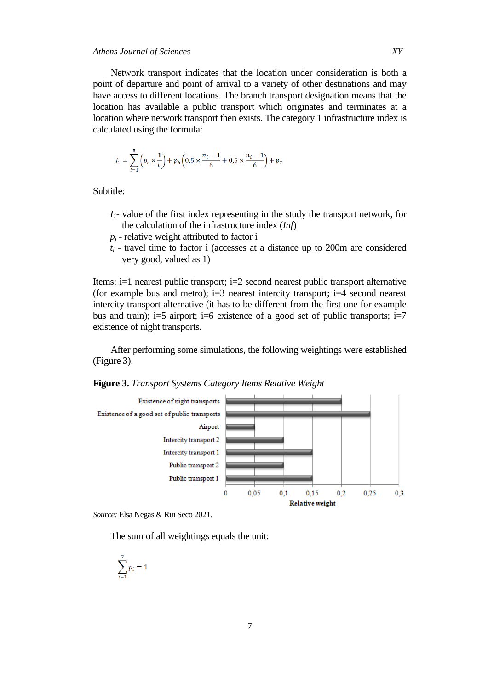## *Athens Journal of Sciences XY*

Network transport indicates that the location under consideration is both a point of departure and point of arrival to a variety of other destinations and may have access to different locations. The branch transport designation means that the location has available a public transport which originates and terminates at a location where network transport then exists. The category 1 infrastructure index is calculated using the formula:

$$
I_1 = \sum_{i=1}^{5} \left( p_i \times \frac{1}{t_i} \right) + p_6 \left( 0.5 \times \frac{n_i - 1}{6} + 0.5 \times \frac{n_i - 1}{6} \right) + p_7
$$

Subtitle:

- *I1* value of the first index representing in the study the transport network, for the calculation of the infrastructure index (*Inf*)
- $p_i$  relative weight attributed to factor i
- *t<sup>i</sup>* travel time to factor i (accesses at a distance up to 200m are considered very good, valued as 1)

Items: i=1 nearest public transport; i=2 second nearest public transport alternative (for example bus and metro);  $i=3$  nearest intercity transport;  $i=4$  second nearest intercity transport alternative (it has to be different from the first one for example bus and train); i=5 airport; i=6 existence of a good set of public transports; i=7 existence of night transports.

After performing some simulations, the following weightings were established (Figure 3).

**Figure 3.** *Transport Systems Category Items Relative Weight*



*Source:* Elsa Negas & Rui Seco 2021.

The sum of all weightings equals the unit:

$$
\sum_{i=1}^7 p_i = 1
$$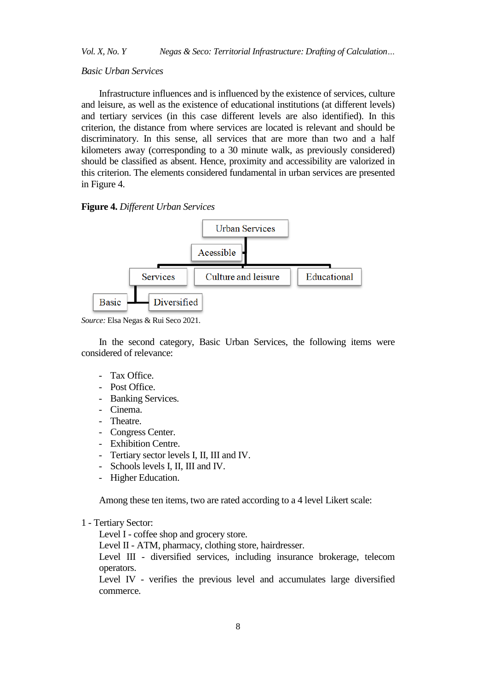#### *Basic Urban Services*

Infrastructure influences and is influenced by the existence of services, culture and leisure, as well as the existence of educational institutions (at different levels) and tertiary services (in this case different levels are also identified). In this criterion, the distance from where services are located is relevant and should be discriminatory. In this sense, all services that are more than two and a half kilometers away (corresponding to a 30 minute walk, as previously considered) should be classified as absent. Hence, proximity and accessibility are valorized in this criterion. The elements considered fundamental in urban services are presented in Figure 4.

#### **Figure 4.** *Different Urban Services*



*Source:* Elsa Negas & Rui Seco 2021.

In the second category, Basic Urban Services, the following items were considered of relevance:

- Tax Office.
- Post Office.
- Banking Services.
- Cinema.
- Theatre.
- Congress Center.
- Exhibition Centre.
- Tertiary sector levels I, II, III and IV.
- Schools levels I, II, III and IV.
- Higher Education.

Among these ten items, two are rated according to a 4 level Likert scale:

#### 1 - Tertiary Sector:

Level I - coffee shop and grocery store.

Level II - ATM, pharmacy, clothing store, hairdresser.

Level III - diversified services, including insurance brokerage, telecom operators.

Level IV - verifies the previous level and accumulates large diversified commerce.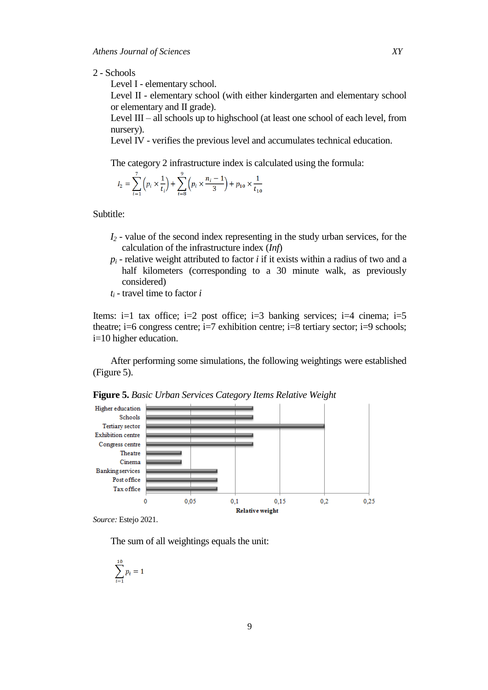2 - Schools

Level I - elementary school.

Level II - elementary school (with either kindergarten and elementary school or elementary and II grade).

Level III – all schools up to highschool (at least one school of each level, from nursery).

Level IV - verifies the previous level and accumulates technical education.

The category 2 infrastructure index is calculated using the formula:

$$
I_2 = \sum_{i=1}^{7} \left( p_i \times \frac{1}{t_i} \right) + \sum_{i=8}^{7} \left( p_i \times \frac{n_i - 1}{3} \right) + p_{10} \times \frac{1}{t_{10}}
$$

Subtitle:

- *I<sup>2</sup>* value of the second index representing in the study urban services, for the calculation of the infrastructure index (*Inf*)
- $p_i$  relative weight attributed to factor *i* if it exists within a radius of two and a half kilometers (corresponding to a 30 minute walk, as previously considered)
- *t<sup>i</sup>* travel time to factor *i*

Items:  $i=1$  tax office;  $i=2$  post office;  $i=3$  banking services;  $i=4$  cinema;  $i=5$ theatre; i=6 congress centre; i=7 exhibition centre; i=8 tertiary sector; i=9 schools; i=10 higher education.

After performing some simulations, the following weightings were established (Figure 5).



**Figure 5.** *Basic Urban Services Category Items Relative Weight*

*Source:* Estejo 2021.

The sum of all weightings equals the unit:

$$
\sum_{i=1}^{10} p_i = 1
$$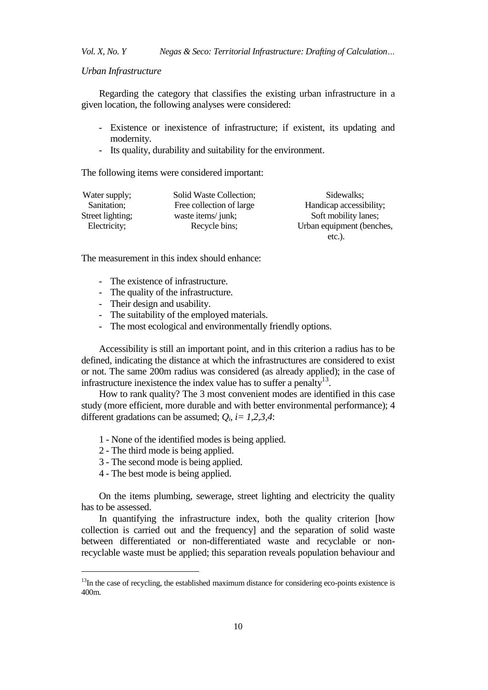#### *Urban Infrastructure*

Regarding the category that classifies the existing urban infrastructure in a given location, the following analyses were considered:

- Existence or inexistence of infrastructure; if existent, its updating and modernity.
- Its quality, durability and suitability for the environment.

The following items were considered important:

| Water supply;    | Solid Waste Collection;  | Sidewalks;                |
|------------------|--------------------------|---------------------------|
| Sanitation;      | Free collection of large | Handicap accessibility;   |
| Street lighting; | waste items/ junk;       | Soft mobility lanes;      |
| Electricity;     | Recycle bins;            | Urban equipment (benches, |
|                  |                          | $etc.$ ).                 |

The measurement in this index should enhance:

- The existence of infrastructure.
- The quality of the infrastructure.
- Their design and usability.
- The suitability of the employed materials.
- The most ecological and environmentally friendly options.

Accessibility is still an important point, and in this criterion a radius has to be defined, indicating the distance at which the infrastructures are considered to exist or not. The same 200m radius was considered (as already applied); in the case of infrastructure inexistence the index value has to suffer a penalty $^{13}$ .

How to rank quality? The 3 most convenient modes are identified in this case study (more efficient, more durable and with better environmental performance); 4 different gradations can be assumed;  $Q_i$ ,  $i = 1,2,3,4$ :

- 1 None of the identified modes is being applied.
- 2 The third mode is being applied.
- 3 The second mode is being applied.
- 4 The best mode is being applied.

 $\overline{a}$ 

On the items plumbing, sewerage, street lighting and electricity the quality has to be assessed.

In quantifying the infrastructure index, both the quality criterion [how collection is carried out and the frequency] and the separation of solid waste between differentiated or non-differentiated waste and recyclable or nonrecyclable waste must be applied; this separation reveals population behaviour and

 $13$ In the case of recycling, the established maximum distance for considering eco-points existence is 400m.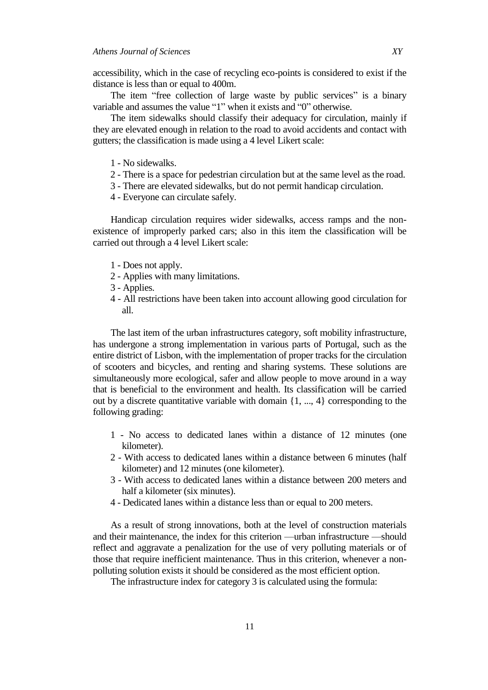accessibility, which in the case of recycling eco-points is considered to exist if the distance is less than or equal to 400m.

The item "free collection of large waste by public services" is a binary variable and assumes the value "1" when it exists and "0" otherwise.

The item sidewalks should classify their adequacy for circulation, mainly if they are elevated enough in relation to the road to avoid accidents and contact with gutters; the classification is made using a 4 level Likert scale:

- 1 No sidewalks.
- 2 There is a space for pedestrian circulation but at the same level as the road.
- 3 There are elevated sidewalks, but do not permit handicap circulation.
- 4 Everyone can circulate safely.

Handicap circulation requires wider sidewalks, access ramps and the nonexistence of improperly parked cars; also in this item the classification will be carried out through a 4 level Likert scale:

- 1 Does not apply.
- 2 Applies with many limitations.
- 3 Applies.
- 4 All restrictions have been taken into account allowing good circulation for all.

The last item of the urban infrastructures category, soft mobility infrastructure, has undergone a strong implementation in various parts of Portugal, such as the entire district of Lisbon, with the implementation of proper tracks for the circulation of scooters and bicycles, and renting and sharing systems. These solutions are simultaneously more ecological, safer and allow people to move around in a way that is beneficial to the environment and health. Its classification will be carried out by a discrete quantitative variable with domain  $\{1, ..., 4\}$  corresponding to the following grading:

- 1 No access to dedicated lanes within a distance of 12 minutes (one kilometer).
- 2 With access to dedicated lanes within a distance between 6 minutes (half kilometer) and 12 minutes (one kilometer).
- 3 With access to dedicated lanes within a distance between 200 meters and half a kilometer (six minutes).
- 4 Dedicated lanes within a distance less than or equal to 200 meters.

As a result of strong innovations, both at the level of construction materials and their maintenance, the index for this criterion —urban infrastructure —should reflect and aggravate a penalization for the use of very polluting materials or of those that require inefficient maintenance. Thus in this criterion, whenever a nonpolluting solution exists it should be considered as the most efficient option.

The infrastructure index for category 3 is calculated using the formula: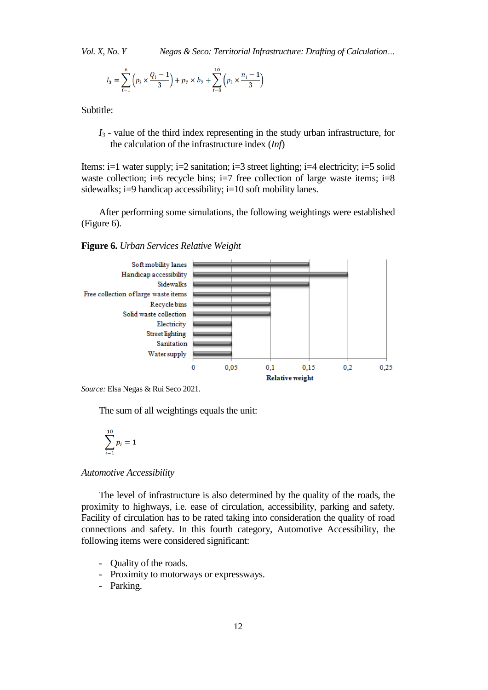$$
I_3 = \sum_{i=1}^{6} \left( p_i \times \frac{Q_i - 1}{3} \right) + p_7 \times b_7 + \sum_{i=8}^{10} \left( p_i \times \frac{n_i - 1}{3} \right)
$$

Subtitle:

*I<sup>3</sup>* - value of the third index representing in the study urban infrastructure, for the calculation of the infrastructure index (*Inf*)

Items: i=1 water supply; i=2 sanitation; i=3 street lighting; i=4 electricity; i=5 solid waste collection; i=6 recycle bins; i=7 free collection of large waste items; i=8 sidewalks; i=9 handicap accessibility; i=10 soft mobility lanes.

After performing some simulations, the following weightings were established (Figure 6).

**Figure 6.** *Urban Services Relative Weight*



*Source:* Elsa Negas & Rui Seco 2021.

The sum of all weightings equals the unit:

$$
\sum_{i=1}^{10} p_i = 1
$$

*Automotive Accessibility*

The level of infrastructure is also determined by the quality of the roads, the proximity to highways, i.e. ease of circulation, accessibility, parking and safety. Facility of circulation has to be rated taking into consideration the quality of road connections and safety. In this fourth category, Automotive Accessibility, the following items were considered significant:

- Quality of the roads.
- Proximity to motorways or expressways.
- Parking.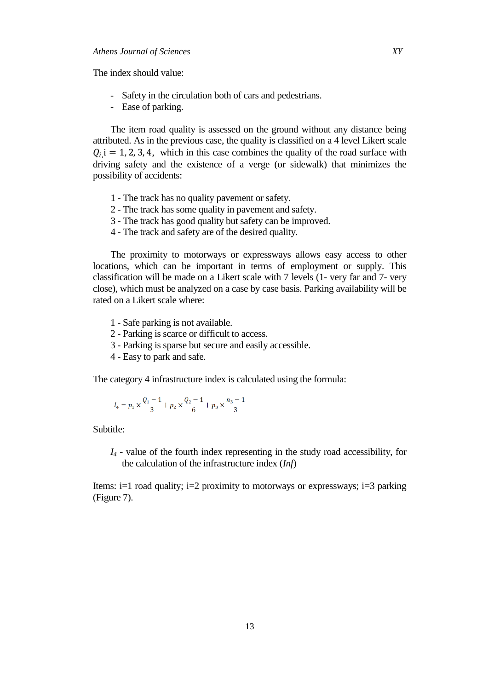The index should value:

- Safety in the circulation both of cars and pedestrians.
- Ease of parking.

The item road quality is assessed on the ground without any distance being attributed. As in the previous case, the quality is classified on a 4 level Likert scale  $Q_{i}$  i = 1, 2, 3, 4, which in this case combines the quality of the road surface with driving safety and the existence of a verge (or sidewalk) that minimizes the possibility of accidents:

- 1 The track has no quality pavement or safety.
- 2 The track has some quality in pavement and safety.
- 3 The track has good quality but safety can be improved.
- 4 The track and safety are of the desired quality.

The proximity to motorways or expressways allows easy access to other locations, which can be important in terms of employment or supply. This classification will be made on a Likert scale with 7 levels (1- very far and 7- very close), which must be analyzed on a case by case basis. Parking availability will be rated on a Likert scale where:

- 1 Safe parking is not available.
- 2 Parking is scarce or difficult to access.
- 3 Parking is sparse but secure and easily accessible.
- 4 Easy to park and safe.

The category 4 infrastructure index is calculated using the formula:

$$
I_4 = p_1 \times \frac{Q_1 - 1}{3} + p_2 \times \frac{Q_2 - 1}{6} + p_3 \times \frac{n_3 - 1}{3}
$$

Subtitle:

*I<sup>4</sup>* - value of the fourth index representing in the study road accessibility, for the calculation of the infrastructure index (*Inf*)

Items:  $i=1$  road quality;  $i=2$  proximity to motorways or expressways;  $i=3$  parking (Figure 7).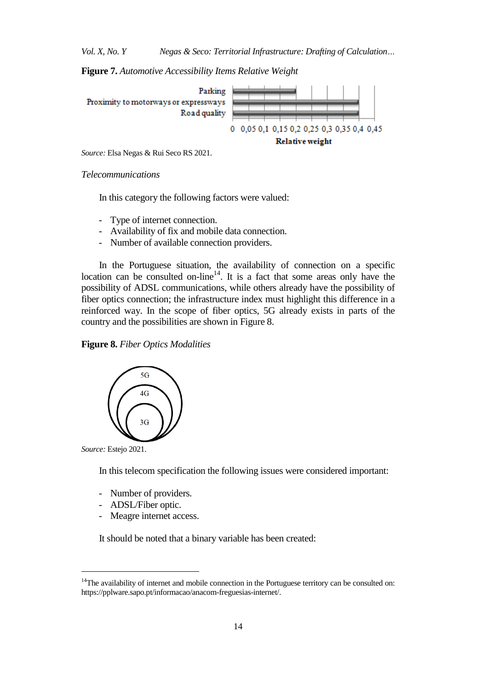**Figure 7.** *Automotive Accessibility Items Relative Weight*



*Source:* Elsa Negas & Rui Seco RS 2021.

*Telecommunications*

In this category the following factors were valued:

- Type of internet connection.
- Availability of fix and mobile data connection.
- Number of available connection providers.

In the Portuguese situation, the availability of connection on a specific location can be consulted on-line<sup>14</sup>. It is a fact that some areas only have the possibility of ADSL communications, while others already have the possibility of fiber optics connection; the infrastructure index must highlight this difference in a reinforced way. In the scope of fiber optics, 5G already exists in parts of the country and the possibilities are shown in Figure 8.

# **Figure 8.** *Fiber Optics Modalities*



*Source:* Estejo 2021.

 $\overline{a}$ 

In this telecom specification the following issues were considered important:

- Number of providers.
- ADSL/Fiber optic.
- Meagre internet access.

It should be noted that a binary variable has been created:

<sup>&</sup>lt;sup>14</sup>The availability of internet and mobile connection in the Portuguese territory can be consulted on: https://pplware.sapo.pt/informacao/anacom-freguesias-internet/.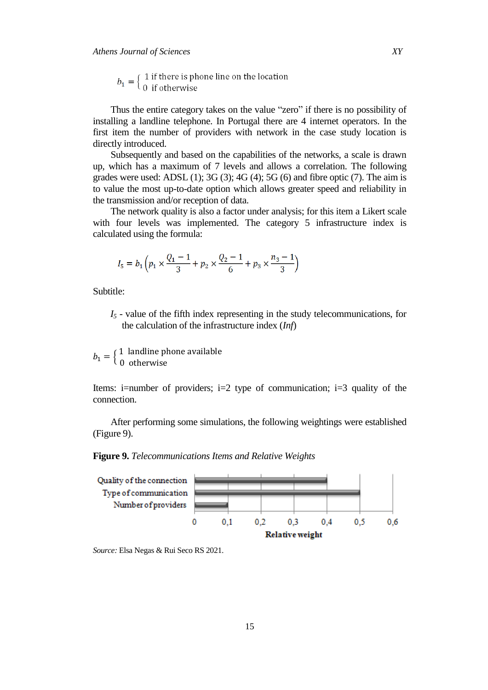$b_1 = \begin{cases} 1 \text{ if there is phone line on the location} \\ 0 \text{ if otherwise} \end{cases}$ 

Thus the entire category takes on the value "zero" if there is no possibility of installing a landline telephone. In Portugal there are 4 internet operators. In the first item the number of providers with network in the case study location is directly introduced.

Subsequently and based on the capabilities of the networks, a scale is drawn up, which has a maximum of 7 levels and allows a correlation. The following grades were used: ADSL  $(1)$ ;  $3G(3)$ ;  $4G(4)$ ;  $5G(6)$  and fibre optic  $(7)$ . The aim is to value the most up-to-date option which allows greater speed and reliability in the transmission and/or reception of data.

The network quality is also a factor under analysis; for this item a Likert scale with four levels was implemented. The category 5 infrastructure index is calculated using the formula:

$$
I_5 = b_1 \left( p_1 \times \frac{Q_1 - 1}{3} + p_2 \times \frac{Q_2 - 1}{6} + p_3 \times \frac{n_3 - 1}{3} \right)
$$

Subtitle:

*I<sup>5</sup>* - value of the fifth index representing in the study telecommunications, for the calculation of the infrastructure index (*Inf*)

 $b_1 = \begin{cases} 1 \\ 0 \end{cases}$  $\boldsymbol{0}$ 

Items: i=number of providers; i=2 type of communication; i=3 quality of the connection.

After performing some simulations, the following weightings were established (Figure 9).

**Figure 9.** *Telecommunications Items and Relative Weights*



*Source:* Elsa Negas & Rui Seco RS 2021.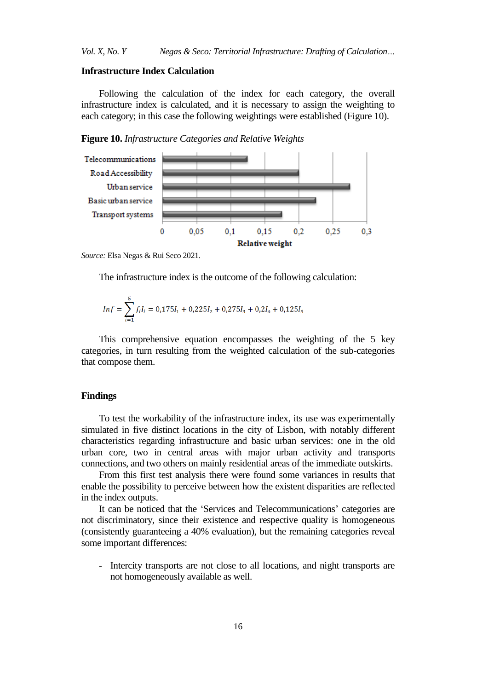# **Infrastructure Index Calculation**

Following the calculation of the index for each category, the overall infrastructure index is calculated, and it is necessary to assign the weighting to each category; in this case the following weightings were established (Figure 10).

**Figure 10.** *Infrastructure Categories and Relative Weights*



*Source:* Elsa Negas & Rui Seco 2021.

The infrastructure index is the outcome of the following calculation:

$$
Inf = \sum_{i=1}^{5} f_i I_i = 0{,}175I_1 + 0{,}225I_2 + 0{,}275I_3 + 0{,}2I_4 + 0{,}125I_5
$$

This comprehensive equation encompasses the weighting of the 5 key categories, in turn resulting from the weighted calculation of the sub-categories that compose them.

#### **Findings**

To test the workability of the infrastructure index, its use was experimentally simulated in five distinct locations in the city of Lisbon, with notably different characteristics regarding infrastructure and basic urban services: one in the old urban core, two in central areas with major urban activity and transports connections, and two others on mainly residential areas of the immediate outskirts.

From this first test analysis there were found some variances in results that enable the possibility to perceive between how the existent disparities are reflected in the index outputs.

It can be noticed that the 'Services and Telecommunications' categories are not discriminatory, since their existence and respective quality is homogeneous (consistently guaranteeing a 40% evaluation), but the remaining categories reveal some important differences:

- Intercity transports are not close to all locations, and night transports are not homogeneously available as well.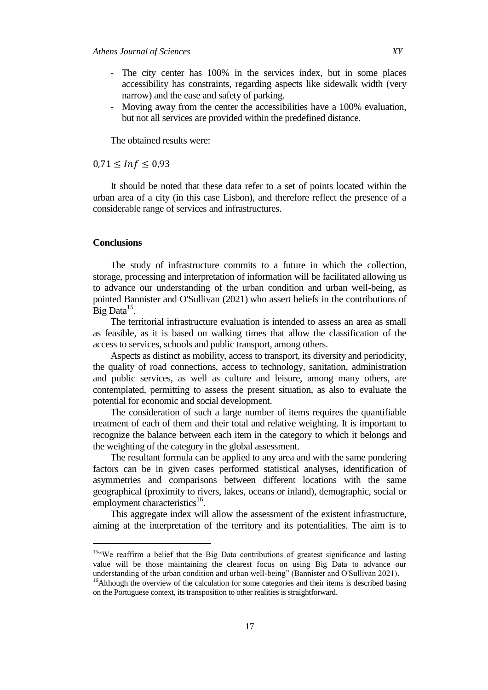- The city center has 100% in the services index, but in some places accessibility has constraints, regarding aspects like sidewalk width (very narrow) and the ease and safety of parking.
- Moving away from the center the accessibilities have a 100% evaluation, but not all services are provided within the predefined distance.

The obtained results were:

## $0.71 \leq Inf \leq 0.93$

It should be noted that these data refer to a set of points located within the urban area of a city (in this case Lisbon), and therefore reflect the presence of a considerable range of services and infrastructures.

## **Conclusions**

j

The study of infrastructure commits to a future in which the collection, storage, processing and interpretation of information will be facilitated allowing us to advance our understanding of the urban condition and urban well-being, as pointed Bannister and O'Sullivan (2021) who assert beliefs in the contributions of  $Big Data<sup>15</sup>$ .

The territorial infrastructure evaluation is intended to assess an area as small as feasible, as it is based on walking times that allow the classification of the access to services, schools and public transport, among others.

Aspects as distinct as mobility, access to transport, its diversity and periodicity, the quality of road connections, access to technology, sanitation, administration and public services, as well as culture and leisure, among many others, are contemplated, permitting to assess the present situation, as also to evaluate the potential for economic and social development.

The consideration of such a large number of items requires the quantifiable treatment of each of them and their total and relative weighting. It is important to recognize the balance between each item in the category to which it belongs and the weighting of the category in the global assessment.

The resultant formula can be applied to any area and with the same pondering factors can be in given cases performed statistical analyses, identification of asymmetries and comparisons between different locations with the same geographical (proximity to rivers, lakes, oceans or inland), demographic, social or  $employment characteristics<sup>16</sup>$ .

This aggregate index will allow the assessment of the existent infrastructure, aiming at the interpretation of the territory and its potentialities. The aim is to

<sup>15&</sup>lt;sup>44</sup>We reaffirm a belief that the Big Data contributions of greatest significance and lasting value will be those maintaining the clearest focus on using Big Data to advance our understanding of the urban condition and urban well-being" (Bannister and O'Sullivan 2021).

<sup>&</sup>lt;sup>16</sup>Although the overview of the calculation for some categories and their items is described basing on the Portuguese context, its transposition to other realities is straightforward.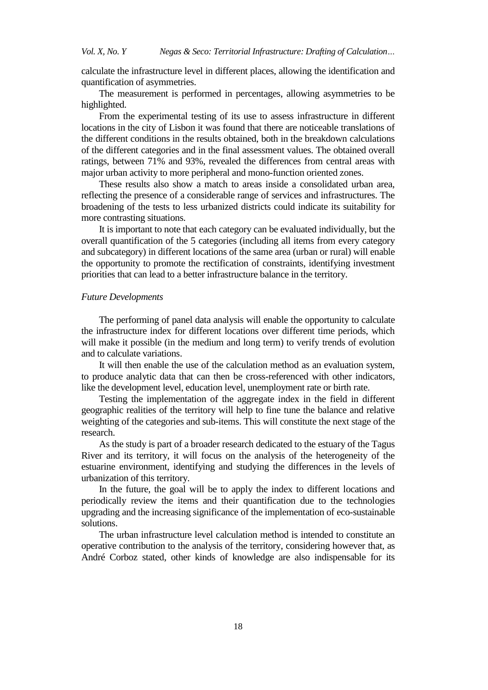calculate the infrastructure level in different places, allowing the identification and quantification of asymmetries.

The measurement is performed in percentages, allowing asymmetries to be highlighted.

From the experimental testing of its use to assess infrastructure in different locations in the city of Lisbon it was found that there are noticeable translations of the different conditions in the results obtained, both in the breakdown calculations of the different categories and in the final assessment values. The obtained overall ratings, between 71% and 93%, revealed the differences from central areas with major urban activity to more peripheral and mono-function oriented zones.

These results also show a match to areas inside a consolidated urban area, reflecting the presence of a considerable range of services and infrastructures. The broadening of the tests to less urbanized districts could indicate its suitability for more contrasting situations.

It is important to note that each category can be evaluated individually, but the overall quantification of the 5 categories (including all items from every category and subcategory) in different locations of the same area (urban or rural) will enable the opportunity to promote the rectification of constraints, identifying investment priorities that can lead to a better infrastructure balance in the territory.

#### *Future Developments*

The performing of panel data analysis will enable the opportunity to calculate the infrastructure index for different locations over different time periods, which will make it possible (in the medium and long term) to verify trends of evolution and to calculate variations.

It will then enable the use of the calculation method as an evaluation system, to produce analytic data that can then be cross-referenced with other indicators, like the development level, education level, unemployment rate or birth rate.

Testing the implementation of the aggregate index in the field in different geographic realities of the territory will help to fine tune the balance and relative weighting of the categories and sub-items. This will constitute the next stage of the research.

As the study is part of a broader research dedicated to the estuary of the Tagus River and its territory, it will focus on the analysis of the heterogeneity of the estuarine environment, identifying and studying the differences in the levels of urbanization of this territory.

In the future, the goal will be to apply the index to different locations and periodically review the items and their quantification due to the technologies upgrading and the increasing significance of the implementation of eco-sustainable solutions.

The urban infrastructure level calculation method is intended to constitute an operative contribution to the analysis of the territory, considering however that, as André Corboz stated, other kinds of knowledge are also indispensable for its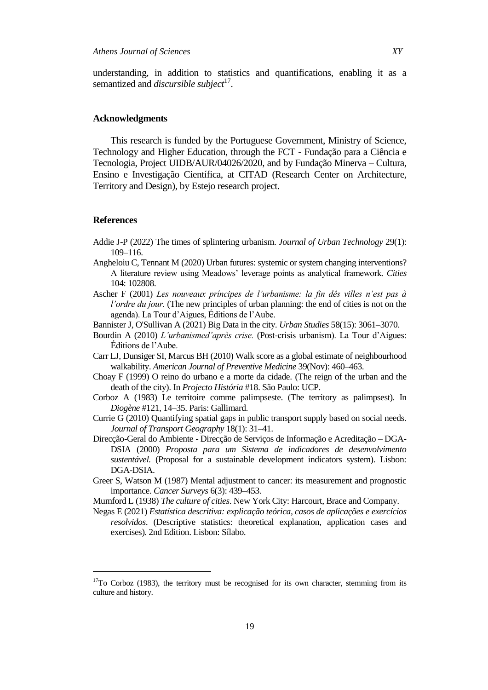understanding, in addition to statistics and quantifications, enabling it as a semantized and *discursible subject*<sup>17</sup>.

#### **Acknowledgments**

This research is funded by the Portuguese Government, Ministry of Science, Technology and Higher Education, through the FCT - Fundação para a Ciência e Tecnologia, Project UIDB/AUR/04026/2020, and by Fundação Minerva – Cultura, Ensino e Investigação Científica, at CITAD (Research Center on Architecture, Territory and Design), by Estejo research project.

#### **References**

 $\overline{a}$ 

- Addie J-P (2022) The times of splintering urbanism. *Journal of Urban Technology* 29(1): 109–116.
- Angheloiu C, Tennant M (2020) Urban futures: systemic or system changing interventions? A literature review using Meadows' leverage points as analytical framework. *Cities* 104: 102808.
- Ascher F (2001) *Les nouveaux príncipes de l'urbanisme: la fin dês villes n'est pas à l'ordre du jour.* (The new principles of urban planning: the end of cities is not on the agenda). La Tour d'Aigues, Éditions de l'Aube.
- Bannister J[, O'Sullivan A](https://www.webofscience.com/wos/author/record/1487332) (2021) Big Data in the city. *Urban Studies* 58(15): 3061–3070.
- Bourdin A (2010) *L'urbanismed'après crise.* (Post-crisis urbanism). La Tour d'Aigues: Éditions de l'Aube.
- Carr LJ, Dunsiger SI, Marcus BH (2010) Walk score as a global estimate of neighbourhood walkability. *American Journal of Preventive Medicine* 39(Nov): 460–463.
- Choay F (1999) O reino do urbano e a morte da cidade. (The reign of the urban and the death of the city). In *Projecto História* #18. São Paulo: UCP.
- Corboz A (1983) Le territoire comme palimpseste. (The territory as palimpsest). In *Diogène* #121, 14–35. Paris: Gallimard.
- Currie G (2010) Quantifying spatial gaps in public transport supply based on social needs. *Journal of Transport Geography* 18(1): 31–41.
- Direcção-Geral do Ambiente Direcção de Serviços de Informação e Acreditação DGA-DSIA (2000) *Proposta para um Sistema de indicadores de desenvolvimento sustentável.* (Proposal for a sustainable development indicators system). Lisbon: DGA-DSIA.
- Greer S, Watson M (1987) Mental adjustment to cancer: its measurement and prognostic importance. *Cancer Surveys* 6(3): 439–453.
- Mumford L (1938) *The culture of cities*. New York City: Harcourt, Brace and Company.
- Negas E (2021) *Estatística descritiva: explicação teórica, casos de aplicações e exercícios resolvidos*. (Descriptive statistics: theoretical explanation, application cases and exercises). 2nd Edition. Lisbon: Sílabo.

 $17$ To Corboz (1983), the territory must be recognised for its own character, stemming from its culture and history.